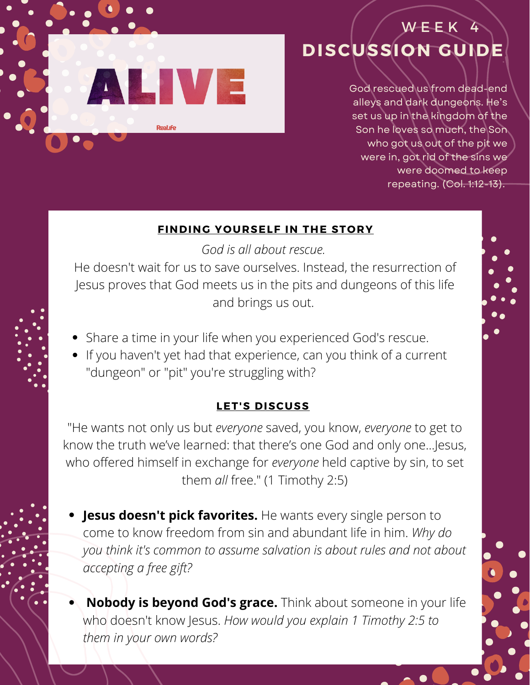

# **DISCUSSION GUIDE** W E E K

God rescued us from dead-end alleys and dark dungeons. He's set us up in the kingdom of the Son he loves so much, the Son who got us out of the pit we were in, got rid of the sins we were doomed to keep repeating. (Col. 1:12-13).

#### **FINDING YOURSELF IN THE STORY**

*God is all about rescue.*

He doesn't wait for us to save ourselves. Instead, the resurrection of Jesus proves that God meets us in the pits and dungeons of this life and brings us out.

- Share a time in your life when you experienced God's rescue.
- If you haven't yet had that experience, can you think of a current "dungeon" or "pit" you're struggling with?

### **LET'S DISCUSS**

"He wants not only us but *everyone* saved, you know, *everyone* to get to know the truth we've learned: that there's one God and only one...Jesus, who offered himself in exchange for *everyone* held captive by sin, to set them *all* free." (1 Timothy 2:5)

- **Jesus doesn't pick favorites.** He wants every single person to come to know freedom from sin and abundant life in him. *Why do you think it's common to assume salvation is about rules and not about accepting a free gift?*
- **Nobody is beyond God's grace.** Think about someone in your life who doesn't know Jesus. *How would you explain 1 Timothy 2:5 to them in your own words?*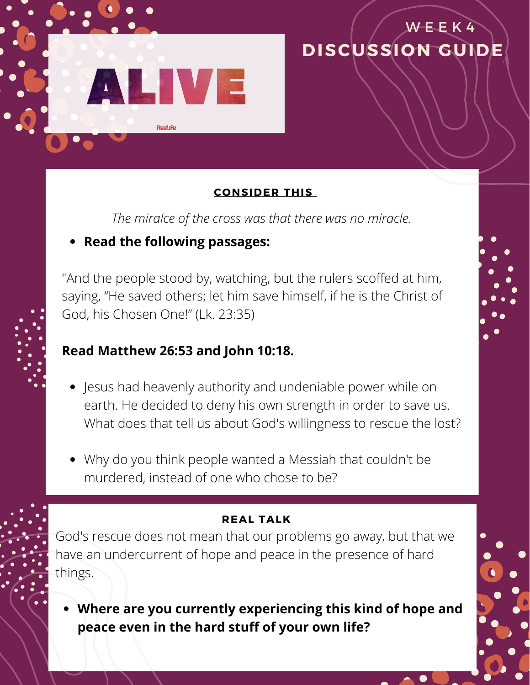

### **CONSIDER THIS**

**DISCUSSION GUIDE**

W E E K 4

*The miralce of the cross was that there was no miracle.* 

## **Read the following passages:**

"And the people stood by, watching, but the rulers scoffed at him, saying, "He saved others; let him save himself, if he is the Christ of God, his Chosen One!" (Lk. 23:35)

## **Read Matthew 26:53 and John 10:18.**

- Jesus had heavenly authority and undeniable power while on earth. He decided to deny his own strength in order to save us. What does that tell us about God's willingness to rescue the lost?
- Why do you think people wanted a Messiah that couldn't be murdered, instead of one who chose to be?

### **REAL TALK**

God's rescue does not mean that our problems go away, but that we have an undercurrent of hope and peace in the presence of hard things.

**Where are you currently experiencing this kind of hope and peace even in the hard stuff of your own life?**